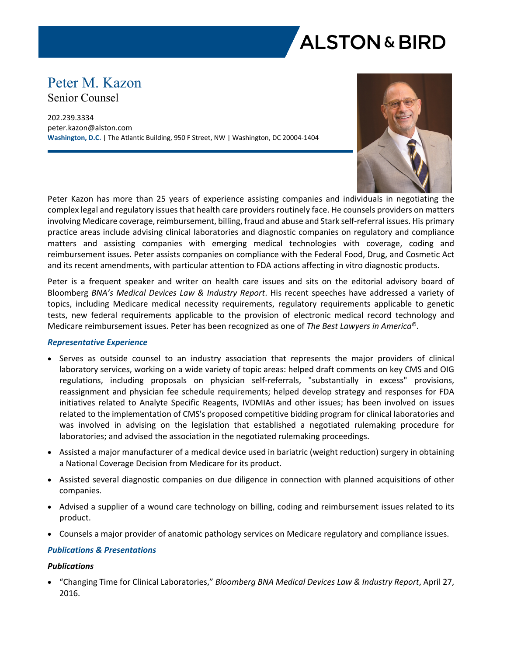

# Peter M. Kazon Senior Counsel

202.239.3334 peter.kazon@alston.com **Washington, D.C.** | The Atlantic Building, 950 F Street, NW | Washington, DC 20004-1404



Peter Kazon has more than 25 years of experience assisting companies and individuals in negotiating the complex legal and regulatory issues that health care providers routinely face. He counsels providers on matters involving Medicare coverage, reimbursement, billing, fraud and abuse and Stark self-referral issues. His primary practice areas include advising clinical laboratories and diagnostic companies on regulatory and compliance matters and assisting companies with emerging medical technologies with coverage, coding and reimbursement issues. Peter assists companies on compliance with the Federal Food, Drug, and Cosmetic Act and its recent amendments, with particular attention to FDA actions affecting in vitro diagnostic products.

Peter is a frequent speaker and writer on health care issues and sits on the editorial advisory board of Bloomberg *BNA's Medical Devices Law & Industry Report*. His recent speeches have addressed a variety of topics, including Medicare medical necessity requirements, regulatory requirements applicable to genetic tests, new federal requirements applicable to the provision of electronic medical record technology and Medicare reimbursement issues. Peter has been recognized as one of *The Best Lawyers in America©*.

#### *Representative Experience*

- Serves as outside counsel to an industry association that represents the major providers of clinical laboratory services, working on a wide variety of topic areas: helped draft comments on key CMS and OIG regulations, including proposals on physician self-referrals, "substantially in excess" provisions, reassignment and physician fee schedule requirements; helped develop strategy and responses for FDA initiatives related to Analyte Specific Reagents, IVDMIAs and other issues; has been involved on issues related to the implementation of CMS's proposed competitive bidding program for clinical laboratories and was involved in advising on the legislation that established a negotiated rulemaking procedure for laboratories; and advised the association in the negotiated rulemaking proceedings.
- Assisted a major manufacturer of a medical device used in bariatric (weight reduction) surgery in obtaining a National Coverage Decision from Medicare for its product.
- Assisted several diagnostic companies on due diligence in connection with planned acquisitions of other companies.
- Advised a supplier of a wound care technology on billing, coding and reimbursement issues related to its product.
- Counsels a major provider of anatomic pathology services on Medicare regulatory and compliance issues.

#### *Publications & Presentations*

#### *Publications*

 "Changing Time for Clinical Laboratories," *Bloomberg BNA Medical Devices Law & Industry Report*, April 27, 2016.